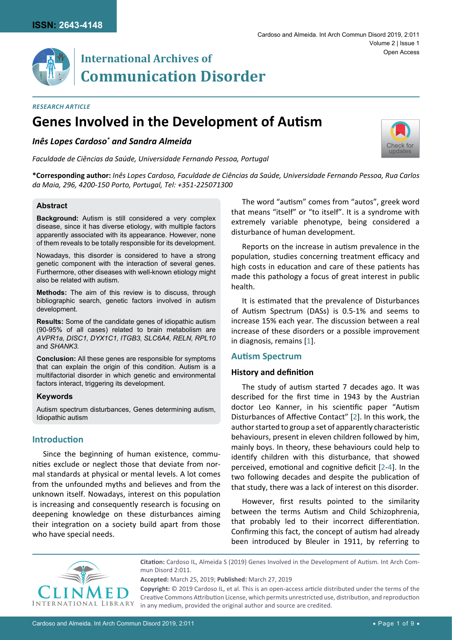

#### *Research Article*

# **Genes Involved in the Development of Autism**

# *Inês Lopes Cardoso\* and Sandra Almeida*

*Faculdade de Ciências da Saúde, Universidade Fernando Pessoa, Portugal*



**\*Corresponding author:** *Inês Lopes Cardoso, Faculdade de Ciências da Saúde, Universidade Fernando Pessoa, Rua Carlos da Maia, 296, 4200-150 Porto, Portugal, Tel: +351-225071300*

#### **Abstract**

**Background:** Autism is still considered a very complex disease, since it has diverse etiology, with multiple factors apparently associated with its appearance. However, none of them reveals to be totally responsible for its development.

Nowadays, this disorder is considered to have a strong genetic component with the interaction of several genes. Furthermore, other diseases with well-known etiology might also be related with autism.

**Methods:** The aim of this review is to discuss, through bibliographic search, genetic factors involved in autism development.

**Results:** Some of the candidate genes of idiopathic autism (90-95% of all cases) related to brain metabolism are *AVPR1a, DISC1, DYX1C1, ITGB3, SLC6A4, RELN, RPL10*  and *SHANK3.*

**Conclusion:** All these genes are responsible for symptoms that can explain the origin of this condition. Autism is a multifactorial disorder in which genetic and environmental factors interact, triggering its development.

#### **Keywords**

Autism spectrum disturbances, Genes determining autism, Idiopathic autism

## **Introduction**

Since the beginning of human existence, communities exclude or neglect those that deviate from normal standards at physical or mental levels. A lot comes from the unfounded myths and believes and from the unknown itself. Nowadays, interest on this population is increasing and consequently research is focusing on deepening knowledge on these disturbances aiming their integration on a society build apart from those who have special needs.

The word "autism" comes from "autos", greek word that means "itself" or "to itself". It is a syndrome with extremely variable phenotype, being considered a disturbance of human development.

Reports on the increase in autism prevalence in the population, studies concerning treatment efficacy and high costs in education and care of these patients has made this pathology a focus of great interest in public health.

It is estimated that the prevalence of Disturbances of Autism Spectrum (DASs) is 0.5-1% and seems to increase 15% each year. The discussion between a real increase of these disorders or a possible improvement in diagnosis, remains [\[1\]](#page-7-0).

#### **Autism Spectrum**

#### **History and definition**

The study of autism started 7 decades ago. It was described for the first time in 1943 by the Austrian doctor Leo Kanner, in his scientific paper "Autism Disturbances of Affective Contact" [[2](#page-7-1)]. In this work, the author started to group a set of apparently characteristic behaviours, present in eleven children followed by him, mainly boys. In theory, these behaviours could help to identify children with this disturbance, that showed perceived, emotional and cognitive deficit [[2](#page-7-1)-[4\]](#page-7-2). In the two following decades and despite the publication of that study, there was a lack of interest on this disorder.

However, first results pointed to the similarity between the terms Autism and Child Schizophrenia, that probably led to their incorrect differentiation. Confirming this fact, the concept of autism had already been introduced by Bleuler in 1911, by referring to



**Citation:** Cardoso IL, Almeida S (2019) Genes Involved in the Development of Autism. Int Arch Commun Disord 2:011.

**Accepted:** March 25, 2019; **Published:** March 27, 2019

**Copyright:** © 2019 Cardoso IL, et al. This is an open-access article distributed under the terms of the Creative Commons Attribution License, which permits unrestricted use, distribution, and reproduction in any medium, provided the original author and source are credited.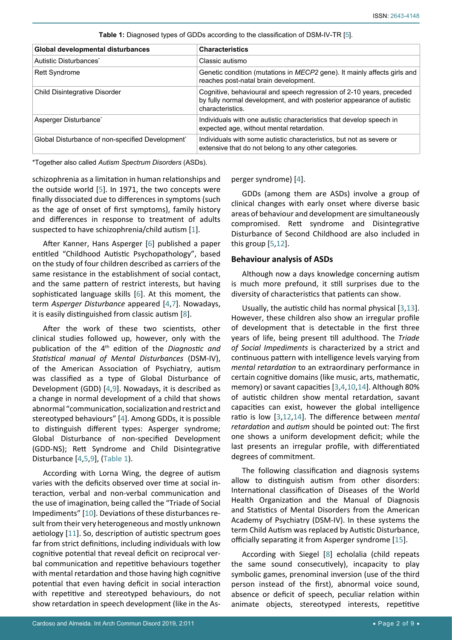| Global developmental disturbances                | <b>Characteristics</b>                                                                                                                                             |
|--------------------------------------------------|--------------------------------------------------------------------------------------------------------------------------------------------------------------------|
| Autistic Disturbances <sup>*</sup>               | Classic autismo                                                                                                                                                    |
| <b>Rett Syndrome</b>                             | Genetic condition (mutations in MECP2 gene). It mainly affects girls and<br>reaches post-natal brain development.                                                  |
| Child Disintegrative Disorder                    | Cognitive, behavioural and speech regression of 2-10 years, preceded<br>by fully normal development, and with posterior appearance of autistic<br>characteristics. |
| Asperger Disturbance <sup>*</sup>                | Individuals with one autistic characteristics that develop speech in<br>expected age, without mental retardation.                                                  |
| Global Disturbance of non-specified Development* | Individuals with some autistic characteristics, but not as severe or<br>extensive that do not belong to any other categories.                                      |

<span id="page-1-0"></span>**Table 1:** Diagnosed types of GDDs according to the classification of DSM-IV-TR [[5\]](#page-7-3).

\*Together also called *Autism Spectrum Disorders* (ASDs).

schizophrenia as a limitation in human relationships and the outside world [\[5\]](#page-7-3). In 1971, the two concepts were finally dissociated due to differences in symptoms (such as the age of onset of first symptoms), family history and differences in response to treatment of adults suspected to have schizophrenia/child autism [\[1\]](#page-7-0).

After Kanner, Hans Asperger [[6](#page-7-11)] published a paper entitled "Childhood Autistic Psychopathology", based on the study of four children described as carriers of the same resistance in the establishment of social contact, and the same pattern of restrict interests, but having sophisticated language skills [[6](#page-7-11)]. At this moment, the term *Asperger Disturbance* appeared [[4](#page-7-2)[,7\]](#page-7-12). Nowadays, it is easily distinguished from classic autism [[8\]](#page-7-10).

After the work of these two scientists, other clinical studies followed up, however, only with the publication of the 4th edition of the *Diagnostic and Statistical manual of Mental Disturbances* (DSM-IV), of the American Association of Psychiatry, autism was classified as a type of Global Disturbance of Development (GDD) [[4](#page-7-2)[,9\]](#page-7-13). Nowadays, it is described as a change in normal development of a child that shows abnormal "communication, socialization and restrict and stereotyped behaviours" [[4](#page-7-2)]. Among GDDs, it is possible to distinguish different types: Asperger syndrome; Global Disturbance of non-specified Development (GDD-NS); Rett Syndrome and Child Disintegrative Disturbance [\[4,](#page-7-2)[5](#page-7-3),[9](#page-7-13)], [\(Table 1\)](#page-1-0).

According with Lorna Wing, the degree of autism varies with the deficits observed over time at social interaction, verbal and non-verbal communication and the use of imagination, being called the "Triade of Social Impediments" [[10\]](#page-7-7). Deviations of these disturbances result from their very heterogeneous and mostly unknown aetiology [[11\]](#page-7-14). So, description of autistic spectrum goes far from strict definitions, including individuals with low cognitive potential that reveal deficit on reciprocal verbal communication and repetitive behaviours together with mental retardation and those having high cognitive potential that even having deficit in social interaction with repetitive and stereotyped behaviours, do not show retardation in speech development (like in the Asperger syndrome) [[4](#page-7-2)].

GDDs (among them are ASDs) involve a group of clinical changes with early onset where diverse basic areas of behaviour and development are simultaneously compromised. Rett syndrome and Disintegrative Disturbance of Second Childhood are also included in this group [[5](#page-7-3)[,12](#page-7-4)].

#### **Behaviour analysis of ASDs**

Although now a days knowledge concerning autism is much more prefound, it still surprises due to the diversity of characteristics that patients can show.

Usually, the autistic child has normal physical [\[3](#page-7-5)[,13\]](#page-7-6). However, these children also show an irregular profile of development that is detectable in the first three years of life, being present till adulthood. The *Triade of Social Impediments* is characterized by a strict and continuous pattern with intelligence levels varying from *mental retardation* to an extraordinary performance in certain cognitive domains (like music, arts, mathematic, memory) or savant capacities [[3](#page-7-5)[,4,](#page-7-2)[10](#page-7-7)[,14](#page-7-8)]. Although 80% of autistic children show mental retardation, savant capacities can exist, however the global intelligence ratio is low [\[3](#page-7-5)[,12](#page-7-4)[,14\]](#page-7-8). The difference between *mental retardation* and *autism* should be pointed out: The first one shows a uniform development deficit; while the last presents an irregular profile, with differentiated degrees of commitment.

The following classification and diagnosis systems allow to distinguish autism from other disorders: International classification of Diseases of the World Health Organization and the Manual of Diagnosis and Statistics of Mental Disorders from the American Academy of Psychiatry (DSM-IV). In these systems the term Child Autism was replaced by Autistic Disturbance, officially separating it from Asperger syndrome [\[15](#page-7-9)].

According with Siegel [\[8\]](#page-7-10) echolalia (child repeats the same sound consecutively), incapacity to play symbolic games, prenominal inversion (use of the third person instead of the first), abnormal voice sound, absence or deficit of speech, peculiar relation within animate objects, stereotyped interests, repetitive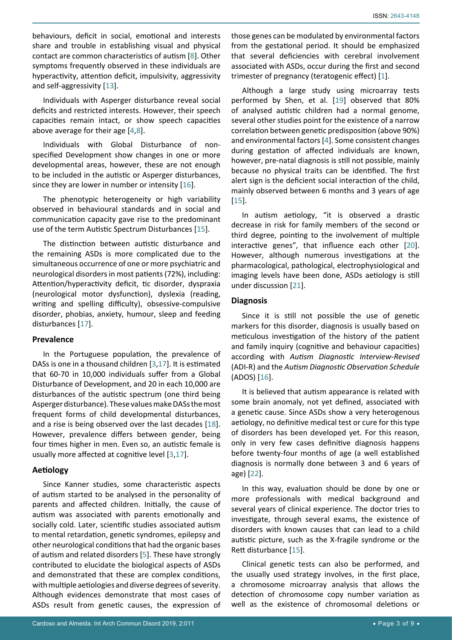behaviours, deficit in social, emotional and interests share and trouble in establishing visual and physical contact are common characteristics of autism [[8](#page-7-10)]. Other symptoms frequently observed in these individuals are hyperactivity, attention deficit, impulsivity, aggressivity and self-aggressivity [[13](#page-7-6)].

Individuals with Asperger disturbance reveal social deficits and restricted interests. However, their speech capacities remain intact, or show speech capacities above average for their age [\[4,](#page-7-2)[8](#page-7-10)].

Individuals with Global Disturbance of nonspecified Development show changes in one or more developmental areas, however, these are not enough to be included in the autistic or Asperger disturbances, since they are lower in number or intensity [[16\]](#page-7-18).

The phenotypic heterogeneity or high variability observed in behavioural standards and in social and communication capacity gave rise to the predominant use of the term Autistic Spectrum Disturbances [\[15](#page-7-9)].

The distinction between autistic disturbance and the remaining ASDs is more complicated due to the simultaneous occurrence of one or more psychiatric and neurological disorders in most patients (72%), including: Attention/hyperactivity deficit, tic disorder, dyspraxia (neurological motor dysfunction), dyslexia (reading, writing and spelling difficulty), obsessive-compulsive disorder, phobias, anxiety, humour, sleep and feeding disturbances [[17\]](#page-7-20).

#### **Prevalence**

In the Portuguese population, the prevalence of DASs is one in a thousand children [\[3,](#page-7-5)[17\]](#page-7-20). It is estimated that 60-70 in 10,000 individuals suffer from a Global Disturbance of Development, and 20 in each 10,000 are disturbances of the autistic spectrum (one third being Asperger disturbance). These values make DASs the most frequent forms of child developmental disturbances, and a rise is being observed over the last decades [\[18](#page-7-21)]. However, prevalence differs between gender, being four times higher in men. Even so, an autistic female is usually more affected at cognitive level [\[3,](#page-7-5)[17\]](#page-7-20).

#### **Aetiology**

Since Kanner studies, some characteristic aspects of autism started to be analysed in the personality of parents and affected children. Initially, the cause of autism was associated with parents emotionally and socially cold. Later, scientific studies associated autism to mental retardation, genetic syndromes, epilepsy and other neurological conditions that had the organic bases of autism and related disorders [[5](#page-7-3)]. These have strongly contributed to elucidate the biological aspects of ASDs and demonstrated that these are complex conditions, with multiple aetiologies and diverse degrees of severity. Although evidences demonstrate that most cases of ASDs result from genetic causes, the expression of those genes can be modulated by environmental factors from the gestational period. It should be emphasized that several deficiencies with cerebral involvement associated with ASDs, occur during the first and second trimester of pregnancy (teratogenic effect) [[1](#page-7-0)].

Although a large study using microarray tests performed by Shen, et al. [\[19\]](#page-7-15) observed that 80% of analysed autistic children had a normal genome, several other studies point for the existence of a narrow correlation between genetic predisposition (above 90%) and environmental factors [[4](#page-7-2)]. Some consistent changes during gestation of affected individuals are known, however, pre-natal diagnosis is still not possible, mainly because no physical traits can be identified. The first alert sign is the deficient social interaction of the child, mainly observed between 6 months and 3 years of age [\[15](#page-7-9)].

In autism aetiology, "it is observed a drastic decrease in risk for family members of the second or third degree, pointing to the involvement of multiple interactive genes", that influence each other [\[20\]](#page-7-16). However, although numerous investigations at the pharmacological, pathological, electrophysiological and imaging levels have been done, ASDs aetiology is still under discussion [\[21\]](#page-7-17).

#### **Diagnosis**

Since it is still not possible the use of genetic markers for this disorder, diagnosis is usually based on meticulous investigation of the history of the patient and family inquiry (cognitive and behaviour capacities) according with *Autism Diagnostic Interview-Revised* (ADI-R) and the *Autism Diagnostic Observation Schedule* (ADOS) [[16\]](#page-7-18).

It is believed that autism appearance is related with some brain anomaly, not yet defined, associated with a genetic cause. Since ASDs show a very heterogenous aetiology, no definitive medical test or cure for this type of disorders has been developed yet. For this reason, only in very few cases definitive diagnosis happens before twenty-four months of age (a well established diagnosis is normally done between 3 and 6 years of age) [[22](#page-7-19)].

In this way, evaluation should be done by one or more professionals with medical background and several years of clinical experience. The doctor tries to investigate, through several exams, the existence of disorders with known causes that can lead to a child autistic picture, such as the X-fragile syndrome or the Rett disturbance [\[15\]](#page-7-9).

Clinical genetic tests can also be performed, and the usually used strategy involves, in the first place, a chromosome microarray analysis that allows the detection of chromosome copy number variation as well as the existence of chromosomal deletions or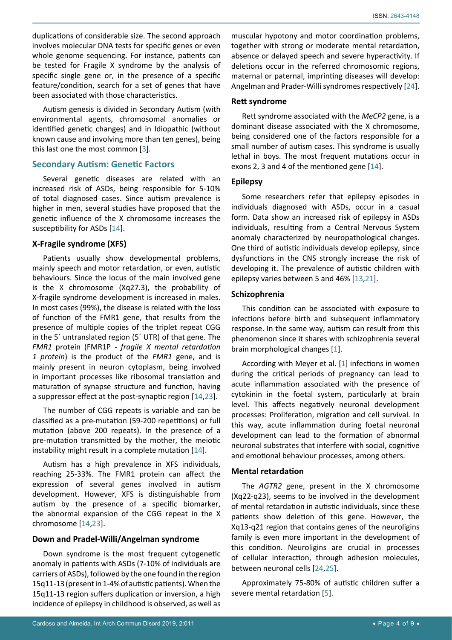duplications of considerable size. The second approach involves molecular DNA tests for specific genes or even whole genome sequencing. For instance, patients can be tested for Fragile X syndrome by the analysis of specific single gene or, in the presence of a specific feature/condition, search for a set of genes that have been associated with those characteristics.

Autism genesis is divided in Secondary Autism (with environmental agents, chromosomal anomalies or identified genetic changes) and in Idiopathic (without known cause and involving more than ten genes), being this last one the most common [\[3\]](#page-7-5).

## **Secondary Autism: Genetic Factors**

Several genetic diseases are related with an increased risk of ASDs, being responsible for 5-10% of total diagnosed cases. Since autism prevalence is higher in men, several studies have proposed that the genetic influence of the X chromosome increases the susceptibility for ASDs [\[14](#page-7-8)].

## **X-Fragile syndrome (XFS)**

Patients usually show developmental problems, mainly speech and motor retardation, or even, autistic behaviours. Since the locus of the main involved gene is the X chromosome (Xq27.3), the probability of X-fragile syndrome development is increased in males. In most cases (99%), the disease is related with the loss of function of the FMR1 gene, that results from the presence of multiple copies of the triplet repeat CGG in the 5´ untranslated region (5´ UTR) of that gene. The *FMR1* protein (FMR1P - *fragile X mental retardation 1 protein*) is the product of the *FMR1* gene, and is mainly present in neuron cytoplasm, being involved in important processes like ribosomal translation and maturation of synapse structure and function, having a suppressor effect at the post-synaptic region [[14,](#page-7-8)[23\]](#page-7-22).

The number of CGG repeats is variable and can be classified as a pre-mutation (59-200 repetitions) or full mutation (above 200 repeats). In the presence of a pre-mutation transmitted by the mother, the meiotic instability might result in a complete mutation [\[14\]](#page-7-8).

Autism has a high prevalence in XFS individuals, reaching 25-33%. The FMR1 protein can affect the expression of several genes involved in autism development. However, XFS is distinguishable from autism by the presence of a specific biomarker, the abnormal expansion of the CGG repeat in the X chromosome [\[14,](#page-7-8)[23](#page-7-22)].

#### **Down and Pradel-Willi/Angelman syndrome**

Down syndrome is the most frequent cytogenetic anomaly in patients with ASDs (7-10% of individuals are carriers of ASDs), followed by the one found in the region 15q11-13 (present in 1-4% of autistic patients). When the 15q11-13 region suffers duplication or inversion, a high incidence of epilepsy in childhood is observed, as well as

muscular hypotony and motor coordination problems, together with strong or moderate mental retardation, absence or delayed speech and severe hyperactivity. If deletions occur in the referred chromosomic regions, maternal or paternal, imprinting diseases will develop: Angelman and Prader-Willi syndromes respectively [\[24\]](#page-8-0).

## **Rett syndrome**

Rett syndrome associated with the *MeCP2* gene, is a dominant disease associated with the X chromosome, being considered one of the factors responsible for a small number of autism cases. This syndrome is usually lethal in boys. The most frequent mutations occur in exons 2, 3 and 4 of the mentioned gene [[14](#page-7-8)].

## **Epilepsy**

Some researchers refer that epilepsy episodes in individuals diagnosed with ASDs, occur in a casual form. Data show an increased risk of epilepsy in ASDs individuals, resulting from a Central Nervous System anomaly characterized by neuropathological changes. One third of autistic individuals develop epilepsy, since dysfunctions in the CNS strongly increase the risk of developing it. The prevalence of autistic children with epilepsy varies between 5 and 46% [\[13](#page-7-6)[,21](#page-7-17)].

## **Schizophrenia**

This condition can be associated with exposure to infections before birth and subsequent inflammatory response. In the same way, autism can result from this phenomenon since it shares with schizophrenia several brain morphological changes [\[1](#page-7-0)].

According with Meyer et al. [[1](#page-7-0)] infections in women during the critical periods of pregnancy can lead to acute inflammation associated with the presence of cytokinin in the foetal system, particularly at brain level. This affects negatively neuronal development processes: Proliferation, migration and cell survival. In this way, acute inflammation during foetal neuronal development can lead to the formation of abnormal neuronal substrates that interfere with social, cognitive and emotional behaviour processes, among others.

# **Mental retardation**

The *AGTR2* gene, present in the X chromosome (Xq22-q23), seems to be involved in the development of mental retardation in autistic individuals, since these patients show deletion of this gene. However, the Xq13-q21 region that contains genes of the neuroligins family is even more important in the development of this condition. Neuroligins are crucial in processes of cellular interaction, through adhesion molecules, between neuronal cells [[24,](#page-8-0)[25\]](#page-8-1).

Approximately 75-80% of autistic children suffer a severe mental retardation [\[5](#page-7-3)].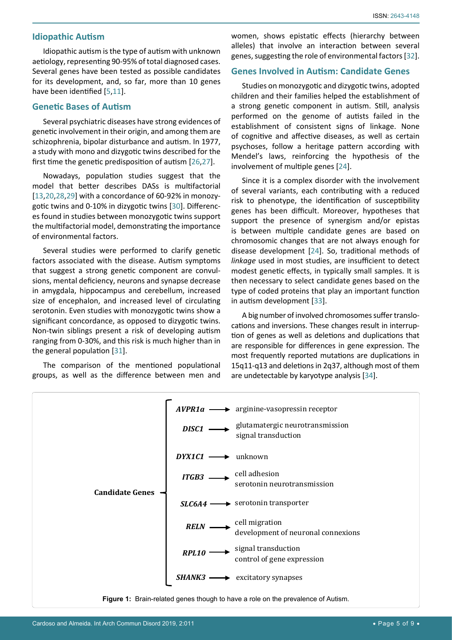#### **Idiopathic Autism**

Idiopathic autism is the type of autism with unknown aetiology, representing 90-95% of total diagnosed cases. Several genes have been tested as possible candidates for its development, and, so far, more than 10 genes have been identified [\[5](#page-7-3)[,11\]](#page-7-14).

## **Genetic Bases of Autism**

Several psychiatric diseases have strong evidences of genetic involvement in their origin, and among them are schizophrenia, bipolar disturbance and autism. In 1977, a study with mono and dizygotic twins described for the first time the genetic predisposition of autism [[26](#page-8-5)[,27](#page-8-6)].

Nowadays, population studies suggest that the model that better describes DASs is multifactorial [[13](#page-7-6),[20,](#page-7-16)[28,](#page-8-7)[29\]](#page-8-8) with a concordance of 60-92% in monozygotic twins and 0-10% in dizygotic twins [\[30\]](#page-8-9). Differences found in studies between monozygotic twins support the multifactorial model, demonstrating the importance of environmental factors.

Several studies were performed to clarify genetic factors associated with the disease. Autism symptoms that suggest a strong genetic component are convulsions, mental deficiency, neurons and synapse decrease in amygdala, hippocampus and cerebellum, increased size of encephalon, and increased level of circulating serotonin. Even studies with monozygotic twins show a significant concordance, as opposed to dizygotic twins. Non-twin siblings present a risk of developing autism ranging from 0-30%, and this risk is much higher than in the general population [\[31\]](#page-8-10).

The comparison of the mentioned populational groups, as well as the difference between men and women, shows epistatic effects (hierarchy between alleles) that involve an interaction between several genes, suggesting the role of environmental factors [\[32\]](#page-8-2).

# **Genes Involved in Autism: Candidate Genes**

Studies on monozygotic and dizygotic twins, adopted children and their families helped the establishment of a strong genetic component in autism. Still, analysis performed on the genome of autists failed in the establishment of consistent signs of linkage. None of cognitive and affective diseases, as well as certain psychoses, follow a heritage pattern according with Mendel's laws, reinforcing the hypothesis of the involvement of multiple genes [\[24](#page-8-0)].

Since it is a complex disorder with the involvement of several variants, each contributing with a reduced risk to phenotype, the identification of susceptibility genes has been difficult. Moreover, hypotheses that support the presence of synergism and/or epistas is between multiple candidate genes are based on chromosomic changes that are not always enough for disease development [\[24](#page-8-0)]. So, traditional methods of *linkage* used in most studies, are insufficient to detect modest genetic effects, in typically small samples. It is then necessary to select candidate genes based on the type of coded proteins that play an important function in autism development [[33\]](#page-8-3).

A big number of involved chromosomes suffer translocations and inversions. These changes result in interruption of genes as well as deletions and duplications that are responsible for differences in gene expression. The most frequently reported mutations are duplications in 15q11-q13 and deletions in 2q37, although most of them are undetectable by karyotype analysis [[34](#page-8-4)].

<span id="page-4-0"></span>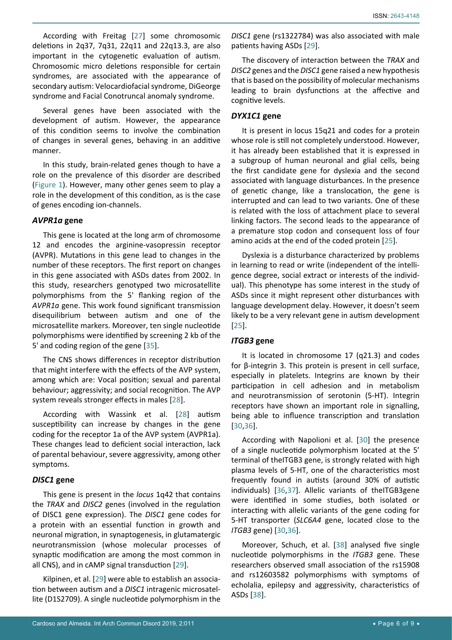According with Freitag [[27\]](#page-8-6) some chromosomic deletions in 2q37, 7q31, 22q11 and 22q13.3, are also important in the cytogenetic evaluation of autism. Chromosomic micro deletions responsible for certain syndromes, are associated with the appearance of secondary autism: Velocardiofacial syndrome, DiGeorge syndrome and Facial Conotruncal anomaly syndrome.

Several genes have been associated with the development of autism. However, the appearance of this condition seems to involve the combination of changes in several genes, behaving in an additive manner.

In this study, brain-related genes though to have a role on the prevalence of this disorder are described ([Figure 1\)](#page-4-0). However, many other genes seem to play a role in the development of this condition, as is the case of genes encoding ion-channels.

## *AVPR1a* **gene**

This gene is located at the long arm of chromosome 12 and encodes the arginine-vasopressin receptor (AVPR). Mutations in this gene lead to changes in the number of these receptors. The first report on changes in this gene associated with ASDs dates from 2002. In this study, researchers genotyped two microsatellite polymorphisms from the 5' flanking region of the *AVPR1a* gene. This work found significant transmission disequilibrium between autism and one of the microsatellite markers. Moreover, ten single nucleotide polymorphisms were identified by screening 2 kb of the 5' and coding region of the gene [\[35\]](#page-8-14).

The CNS shows differences in receptor distribution that might interfere with the effects of the AVP system, among which are: Vocal position; sexual and parental behaviour; aggressivity; and social recognition. The AVP system reveals stronger effects in males [[28\]](#page-8-7).

According with Wassink et al. [\[28](#page-8-7)] autism susceptibility can increase by changes in the gene coding for the receptor 1a of the AVP system (AVPR1a). These changes lead to deficient social interaction, lack of parental behaviour, severe aggressivity, among other symptoms.

# *DISC1* **gene**

This gene is present in the *locus* 1q42 that contains the *TRAX* and *DISC2* genes (involved in the regulation of DISC1 gene expression). The *DISC1* gene codes for a protein with an essential function in growth and neuronal migration, in synaptogenesis, in glutamatergic neurotransmission (whose molecular processes of synaptic modification are among the most common in all CNS), and in cAMP signal transduction [\[29](#page-8-8)].

Kilpinen, et al. [\[29](#page-8-8)] were able to establish an association between autism and a *DISC1* intragenic microsatellite (D1S2709). A single nucleotide polymorphism in the

*DISC1* gene (rs1322784) was also associated with male patients having ASDs [[29](#page-8-8)].

The discovery of interaction between the *TRAX* and *DISC2* genes and the *DISC1* gene raised a new hypothesis that is based on the possibility of molecular mechanisms leading to brain dysfunctions at the affective and cognitive levels.

# *DYX1C1* **gene**

It is present in locus 15q21 and codes for a protein whose role is still not completely understood. However, it has already been established that it is expressed in a subgroup of human neuronal and glial cells, being the first candidate gene for dyslexia and the second associated with language disturbances. In the presence of genetic change, like a translocation, the gene is interrupted and can lead to two variants. One of these is related with the loss of attachment place to several linking factors. The second leads to the appearance of a premature stop codon and consequent loss of four amino acids at the end of the coded protein [[25\]](#page-8-1).

Dyslexia is a disturbance characterized by problems in learning to read or write (independent of the intelligence degree, social extract or interests of the individual). This phenotype has some interest in the study of ASDs since it might represent other disturbances with language development delay. However, it doesn't seem likely to be a very relevant gene in autism development [\[25](#page-8-1)].

# *ITGB3* **gene**

It is located in chromosome 17 (q21.3) and codes for β-integrin 3. This protein is present in cell surface, especially in platelets. Integrins are known by their participation in cell adhesion and in metabolism and neurotransmission of serotonin (5-HT). Integrin receptors have shown an important role in signalling, being able to influence transcription and translation [\[30](#page-8-9)[,36](#page-8-11)].

According with Napolioni et al. [\[30](#page-8-9)] the presence of a single nucleotide polymorphism located at the 5' terminal of theITGB3 gene, is strongly related with high plasma levels of 5-HT, one of the characteristics most frequently found in autists (around 30% of autistic individuals) [[36,](#page-8-11)[37\]](#page-8-12). Allelic variants of theITGB3gene were identified in some studies, both isolated or interacting with allelic variants of the gene coding for 5-HT transporter (*SLC6A4* gene, located close to the *ITGB3* gene) [[30](#page-8-9),[36](#page-8-11)].

Moreover, Schuch, et al. [[38\]](#page-8-13) analysed five single nucleotide polymorphisms in the *ITGB3* gene. These researchers observed small association of the rs15908 and rs12603582 polymorphisms with symptoms of echolalia, epilepsy and aggressivity, characteristics of ASDs [\[38](#page-8-13)].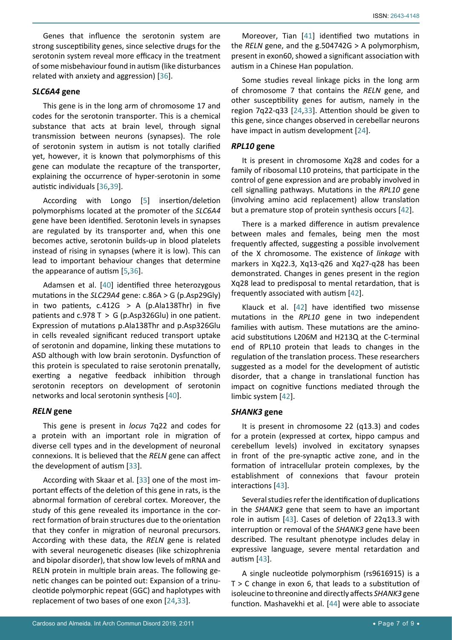Genes that influence the serotonin system are strong susceptibility genes, since selective drugs for the serotonin system reveal more efficacy in the treatment of some misbehaviour found in autism (like disturbances related with anxiety and aggression) [\[36\]](#page-8-11).

#### *SLC6A4* **gene**

This gene is in the long arm of chromosome 17 and codes for the serotonin transporter. This is a chemical substance that acts at brain level, through signal transmission between neurons (synapses). The role of serotonin system in autism is not totally clarified yet, however, it is known that polymorphisms of this gene can modulate the recapture of the transporter, explaining the occurrence of hyper-serotonin in some autistic individuals [[36](#page-8-11),[39\]](#page-8-19).

According with Longo [\[5](#page-7-3)] insertion/deletion polymorphisms located at the promoter of the *SLC6A4*  gene have been identified. Serotonin levels in synapses are regulated by its transporter and, when this one becomes active, serotonin builds-up in blood platelets instead of rising in synapses (where it is low). This can lead to important behaviour changes that determine the appearance of autism [[5](#page-7-3)[,36](#page-8-11)].

Adamsen et al. [\[40](#page-8-20)] identified three heterozygous mutations in the *SLC29A4* gene: c.86A > G (p.Asp29Gly) in two patients,  $c.412G > A$  (p.Ala138Thr) in five patients and  $c.978$  T > G (p.Asp326Glu) in one patient. Expression of mutations p.Ala138Thr and p.Asp326Glu in cells revealed significant reduced transport uptake of serotonin and dopamine, linking these mutations to ASD although with low brain serotonin. Dysfunction of this protein is speculated to raise serotonin prenatally, exerting a negative feedback inhibition through serotonin receptors on development of serotonin networks and local serotonin synthesis [[40\]](#page-8-20).

#### *RELN* **gene**

This gene is present in *locus* 7q22 and codes for a protein with an important role in migration of diverse cell types and in the development of neuronal connexions. It is believed that the *RELN* gene can affect the development of autism [[33\]](#page-8-3).

According with Skaar et al. [\[33](#page-8-3)] one of the most important effects of the deletion of this gene in rats, is the abnormal formation of cerebral cortex. Moreover, the study of this gene revealed its importance in the correct formation of brain structures due to the orientation that they confer in migration of neuronal precursors. According with these data, the *RELN* gene is related with several neurogenetic diseases (like schizophrenia and bipolar disorder), that show low levels of mRNA and RELN protein in multiple brain areas. The following genetic changes can be pointed out: Expansion of a trinucleotide polymorphic repeat (GGC) and haplotypes with replacement of two bases of one exon [[24,](#page-8-0)[33\]](#page-8-3).

Moreover, Tian [\[41\]](#page-8-15) identified two mutations in the *RELN* gene, and the g.504742G > A polymorphism, present in exon60, showed a significant association with autism in a Chinese Han population.

Some studies reveal linkage picks in the long arm of chromosome 7 that contains the *RELN* gene, and other susceptibility genes for autism, namely in the region 7q22-q33 [[24,](#page-8-0)[33\]](#page-8-3). Attention should be given to this gene, since changes observed in cerebellar neurons have impact in autism development [[24\]](#page-8-0).

## *RPL10* **gene**

It is present in chromosome Xq28 and codes for a family of ribosomal L10 proteins, that participate in the control of gene expression and are probably involved in cell signalling pathways. Mutations in the *RPL10* gene (involving amino acid replacement) allow translation but a premature stop of protein synthesis occurs [\[42](#page-8-16)].

There is a marked difference in autism prevalence between males and females, being men the most frequently affected, suggesting a possible involvement of the X chromosome. The existence of *linkage* with markers in Xq22.3, Xq13-q26 and Xq27-q28 has been demonstrated. Changes in genes present in the region Xq28 lead to predisposal to mental retardation, that is frequently associated with autism [[42](#page-8-16)].

Klauck et al. [\[42](#page-8-16)] have identified two missense mutations in the *RPL10* gene in two independent families with autism. These mutations are the aminoacid substitutions L206M and H213Q at the C-terminal end of RPL10 protein that leads to changes in the regulation of the translation process. These researchers suggested as a model for the development of autistic disorder, that a change in translational function has impact on cognitive functions mediated through the limbic system [\[42\]](#page-8-16).

#### *SHANK3* **gene**

It is present in chromosome 22 (q13.3) and codes for a protein (expressed at cortex, hippo campus and cerebellum levels) involved in excitatory synapses in front of the pre-synaptic active zone, and in the formation of intracellular protein complexes, by the establishment of connexions that favour protein interactions [[43\]](#page-8-17).

Several studies refer the identification of duplications in the *SHANK3* gene that seem to have an important role in autism [[43\]](#page-8-17). Cases of deletion of 22q13.3 with interruption or removal of the *SHANK3* gene have been described. The resultant phenotype includes delay in expressive language, severe mental retardation and autism [[43](#page-8-17)].

A single nucleotide polymorphism (rs9616915) is a T > C change in exon 6, that leads to a substitution of isoleucine to threonine and directly affects *SHANK3* gene function. Mashavekhi et al. [[44\]](#page-8-18) were able to associate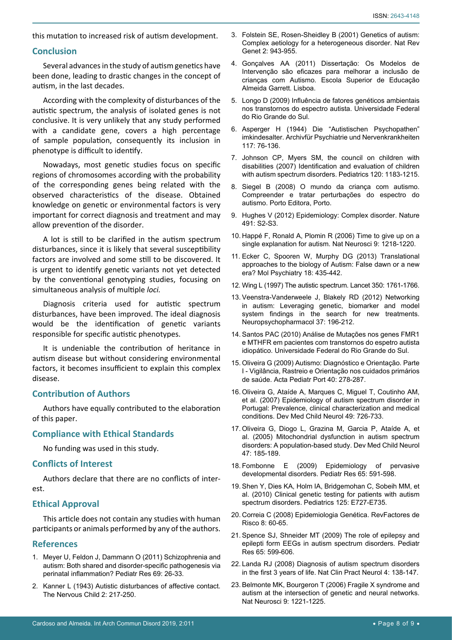this mutation to increased risk of autism development.

#### **Conclusion**

Several advances in the study of autism genetics have been done, leading to drastic changes in the concept of autism, in the last decades.

According with the complexity of disturbances of the autistic spectrum, the analysis of isolated genes is not conclusive. It is very unlikely that any study performed with a candidate gene, covers a high percentage of sample population, consequently its inclusion in phenotype is difficult to identify.

Nowadays, most genetic studies focus on specific regions of chromosomes according with the probability of the corresponding genes being related with the observed characteristics of the disease. Obtained knowledge on genetic or environmental factors is very important for correct diagnosis and treatment and may allow prevention of the disorder.

A lot is still to be clarified in the autism spectrum disturbances, since it is likely that several susceptibility factors are involved and some still to be discovered. It is urgent to identify genetic variants not yet detected by the conventional genotyping studies, focusing on simultaneous analysis of multiple *loci.*

Diagnosis criteria used for autistic spectrum disturbances, have been improved. The ideal diagnosis would be the identification of genetic variants responsible for specific autistic phenotypes.

It is undeniable the contribution of heritance in autism disease but without considering environmental factors, it becomes insufficient to explain this complex disease.

#### **Contribution of Authors**

Authors have equally contributed to the elaboration of this paper.

#### **Compliance with Ethical Standards**

No funding was used in this study.

#### **Conflicts of Interest**

Authors declare that there are no conflicts of interest.

## **Ethical Approval**

This article does not contain any studies with human participants or animals performed by any of the authors.

#### **References**

- <span id="page-7-0"></span>1. [Meyer U, Feldon J, Dammann O \(2011\) Schizophrenia and](https://www.ncbi.nlm.nih.gov/pubmed/21289540)  [autism: Both shared and disorder-specific pathogenesis via](https://www.ncbi.nlm.nih.gov/pubmed/21289540)  [perinatal inflammation? Pediatr Res 69: 26-33.](https://www.ncbi.nlm.nih.gov/pubmed/21289540)
- <span id="page-7-1"></span>2. [Kanner L \(1943\) Autistic disturbances of affective contact.](https://psycnet.apa.org/record/1943-03624-001)  [The Nervous Child 2: 217-250.](https://psycnet.apa.org/record/1943-03624-001)
- <span id="page-7-5"></span>3. [Folstein SE, Rosen-Sheidley B \(2001\) Genetics of autism:](https://www.ncbi.nlm.nih.gov/pubmed/11733747)  [Complex aetiology for a heterogeneous disorder. Nat Rev](https://www.ncbi.nlm.nih.gov/pubmed/11733747)  [Genet 2: 943-955.](https://www.ncbi.nlm.nih.gov/pubmed/11733747)
- <span id="page-7-2"></span>4. [Gonçalves AA \(2011\) Dissertação: Os Modelos de](http://recil.grupolusofona.pt/bitstream/handle/10437/1492/Mestrado final entregue em 16 de setembro - N1_S.pdf?sequence=1)  [Intervenção são eficazes para melhorar a inclusão de](http://recil.grupolusofona.pt/bitstream/handle/10437/1492/Mestrado final entregue em 16 de setembro - N1_S.pdf?sequence=1)  [crianças com Autismo. Escola Superior de Educação](http://recil.grupolusofona.pt/bitstream/handle/10437/1492/Mestrado final entregue em 16 de setembro - N1_S.pdf?sequence=1)  [Almeida Garrett. Lisboa.](http://recil.grupolusofona.pt/bitstream/handle/10437/1492/Mestrado final entregue em 16 de setembro - N1_S.pdf?sequence=1)
- <span id="page-7-3"></span>5. [Longo D \(2009\) Influência de fatores genéticos ambientais](https://lume.ufrgs.br/handle/10183/17315)  [nos transtornos do espectro autista. Universidade Federal](https://lume.ufrgs.br/handle/10183/17315)  [do Rio Grande do Sul.](https://lume.ufrgs.br/handle/10183/17315)
- <span id="page-7-11"></span>6. [Asperger H \(1944\) Die "Autistischen Psychopathen"](https://link.springer.com/article/10.1007/BF01837709)  [imkindesalter. Archivfür Psychiatrie und Nervenkrankheiten](https://link.springer.com/article/10.1007/BF01837709)  [117: 76-136.](https://link.springer.com/article/10.1007/BF01837709)
- <span id="page-7-12"></span>7. [Johnson CP, Myers SM, the council on children with](https://pediatrics.aappublications.org/content/120/5/1183)  [disabilities \(2007\) Identification and evaluation of children](https://pediatrics.aappublications.org/content/120/5/1183)  [with autism spectrum disorders. Pediatrics 120: 1183-1215.](https://pediatrics.aappublications.org/content/120/5/1183)
- <span id="page-7-10"></span>8. Siegel B (2008) O mundo da criança com autismo. Compreender e tratar perturbações do espectro do autismo. Porto Editora, Porto.
- <span id="page-7-13"></span>9. [Hughes V \(2012\) Epidemiology: Complex disorder. Nature](https://www.nature.com/articles/491S2a)  [491: S2-S3.](https://www.nature.com/articles/491S2a)
- <span id="page-7-7"></span>10. [Happé F, Ronald A, Plomin R \(2006\) Time to give up on a](https://www.ncbi.nlm.nih.gov/pubmed/17001340)  [single explanation for autism. Nat Neurosci 9: 1218-1220.](https://www.ncbi.nlm.nih.gov/pubmed/17001340)
- <span id="page-7-14"></span>11. [Ecker C, Spooren W, Murphy DG \(2013\) Translational](https://www.ncbi.nlm.nih.gov/pubmed/22801412)  [approaches to the biology of Autism: False dawn or a new](https://www.ncbi.nlm.nih.gov/pubmed/22801412)  [era? Mol Psychiatry 18: 435-442.](https://www.ncbi.nlm.nih.gov/pubmed/22801412)
- <span id="page-7-4"></span>12. [Wing L \(1997\) The autistic spectrum. Lancet 350: 1761-1766.](https://www.nimh.nih.gov/health/topics/autism-spectrum-disorders-asd/index.shtml)
- <span id="page-7-6"></span>13. [Veenstra-Vanderweele J, Blakely RD \(2012\) Networking](https://www.ncbi.nlm.nih.gov/pubmed/21937981)  [in autism: Leveraging genetic, biomarker and model](https://www.ncbi.nlm.nih.gov/pubmed/21937981)  [system findings in the search for new treatments.](https://www.ncbi.nlm.nih.gov/pubmed/21937981)  [Neuropsychopharmacol 37: 196-212.](https://www.ncbi.nlm.nih.gov/pubmed/21937981)
- <span id="page-7-8"></span>14. [Santos PAC \(2010\) Análise de Mutações nos genes FMR1](https://lume.ufrgs.br/handle/10183/24069)  [e MTHFR em pacientes com transtornos do espetro autista](https://lume.ufrgs.br/handle/10183/24069)  [idiopático. Universidade Federal do Rio Grande do Sul.](https://lume.ufrgs.br/handle/10183/24069)
- <span id="page-7-9"></span>15. Oliveira G (2009) Autismo: Diagnóstico e Orientação. Parte I - Vigilância, Rastreio e Orientação nos cuidados primários de saúde. Acta Pediatr Port 40: 278-287.
- <span id="page-7-18"></span>16. [Oliveira G, Ataíde A, Marques C, Miguel T, Coutinho AM,](https://www.ncbi.nlm.nih.gov/pubmed/17880640)  [et al. \(2007\) Epidemiology of autism spectrum disorder in](https://www.ncbi.nlm.nih.gov/pubmed/17880640)  [Portugal: Prevalence, clinical characterization and medical](https://www.ncbi.nlm.nih.gov/pubmed/17880640)  [conditions. Dev Med Child Neurol 49: 726-733.](https://www.ncbi.nlm.nih.gov/pubmed/17880640)
- <span id="page-7-20"></span>17. [Oliveira G, Diogo L, Grazina M, Garcia P, Ataíde A, et](https://www.ncbi.nlm.nih.gov/pubmed/15739723)  [al. \(2005\) Mitochondrial dysfunction in autism spectrum](https://www.ncbi.nlm.nih.gov/pubmed/15739723)  [disorders: A population-based study. Dev Med Child Neurol](https://www.ncbi.nlm.nih.gov/pubmed/15739723)  [47: 185-189.](https://www.ncbi.nlm.nih.gov/pubmed/15739723)
- <span id="page-7-21"></span>18. [Fombonne E \(2009\) Epidemiology of pervasive](https://www.ncbi.nlm.nih.gov/pubmed/19218885)  [developmental disorders. Pediatr Res 65: 591-598.](https://www.ncbi.nlm.nih.gov/pubmed/19218885)
- <span id="page-7-15"></span>19. [Shen Y, Dies KA, Holm IA, Bridgemohan C, Sobeih MM, et](https://www.ncbi.nlm.nih.gov/pubmed/20231187)  [al. \(2010\) Clinical genetic testing for patients with autism](https://www.ncbi.nlm.nih.gov/pubmed/20231187)  [spectrum disorders. Pediatrics 125: E727-E735.](https://www.ncbi.nlm.nih.gov/pubmed/20231187)
- <span id="page-7-16"></span>20. Correia C (2008) Epidemiologia Genética. RevFactores de Risco 8: 60-65.
- <span id="page-7-17"></span>21. [Spence SJ, Shneider MT \(2009\) The role of epilepsy and](https://www.ncbi.nlm.nih.gov/pmc/articles/PMC2692092/)  [epilepti form EEGs in autism spectrum disorders. Pediatr](https://www.ncbi.nlm.nih.gov/pmc/articles/PMC2692092/)  [Res 65: 599-606.](https://www.ncbi.nlm.nih.gov/pmc/articles/PMC2692092/)
- <span id="page-7-19"></span>22. [Landa RJ \(2008\) Diagnosis of autism spectrum disorders](https://www.ncbi.nlm.nih.gov/pubmed/18253102)  [in the first 3 years of life. Nat Clin Pract Neurol 4: 138-147.](https://www.ncbi.nlm.nih.gov/pubmed/18253102)
- <span id="page-7-22"></span>23. [Belmonte MK, Bourgeron T \(2006\) Fragile X syndrome and](https://www.ncbi.nlm.nih.gov/pubmed/17001341)  [autism at the intersection of genetic and neural networks.](https://www.ncbi.nlm.nih.gov/pubmed/17001341)  [Nat Neurosci 9: 1221-1225.](https://www.ncbi.nlm.nih.gov/pubmed/17001341)